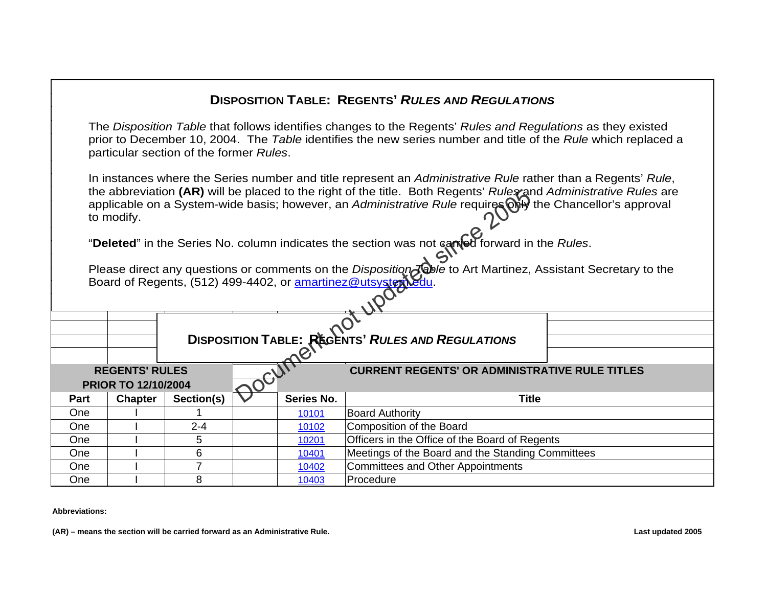## **PRIOR TO 12/10/2004Part Chapter Section(s) Series No. Title** One 10101 Board Authority One I 2-4 10102 Composition of the Board One I 5 <sup>10201</sup> Officers in the Office of the Board of Regents One I 6 10401 Meetings of the Board and the Standing Committees One I I 7 <sup>10402</sup> Committees and Other Appointments One I 810403 Procedure **REGENTS' RULES CURRENT REGENTS' OR ADMINISTRATIVE RULE TITLESDISPOSITION TABLE: REGENTS'** *RULES AND REGULATIONS*The *Disposition Table* that follows identifies changes to the Regents' *Rules and Regulations* as they existed prior to December 10, 2004. The *Table* identifies the new series number and title of the *Rule* which replaced a particular section of the former *Rules*. In instances where the Series number and title represent an *Administrative Rule* rather than a Regents' *Rule*, the abbreviation **(AR)** will be placed to the right of the title. Both Regents' *Rules* and *Administrative Rules* are applicable on a System-wide basis; however, an *Administrative Rule* requires only the Chancellor's approval to modify. "**Deleted**" in the Series No. column indicates the section was not carried forward in the *Rules*. Please direct any questions or comments on the *Disposition* Jable to Art Martinez, Assistant Secretary to the Board of Regents, (512) 499-4402, or amartinez@utsystem **DISPOSITION TABLE: REGENTS'** *RULES AND REGULATIONS* Ele placed to the right of the title. Both Regents' Rules and<br>the basis; however, an *Administrative Rule* requires ONP<br>column indicates the section was not camed forward in<br>s or comments on the *Disposition Toble* to Art

**Abbreviations:**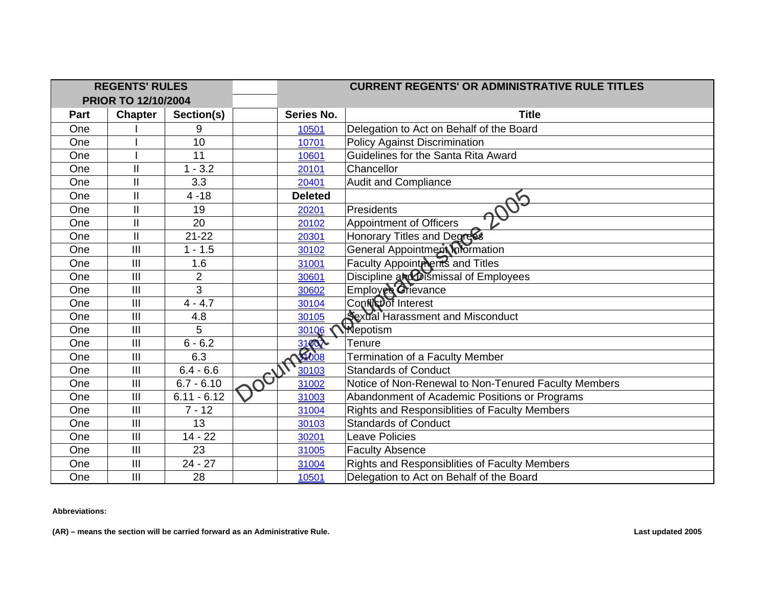| <b>REGENTS' RULES</b>      |                |                |           |                   | <b>CURRENT REGENTS' OR ADMINISTRATIVE RULE TITLES</b> |
|----------------------------|----------------|----------------|-----------|-------------------|-------------------------------------------------------|
| <b>PRIOR TO 12/10/2004</b> |                |                |           |                   |                                                       |
| Part                       | <b>Chapter</b> | Section(s)     |           | <b>Series No.</b> | <b>Title</b>                                          |
| One                        |                | 9              |           | 10501             | Delegation to Act on Behalf of the Board              |
| One                        |                | 10             |           | 10701             | <b>Policy Against Discrimination</b>                  |
| One                        |                | 11             |           | 10601             | Guidelines for the Santa Rita Award                   |
| One                        | $\mathbf{I}$   | $1 - 3.2$      |           | 20101             | Chancellor                                            |
| One                        | $\mathbf{I}$   | 3.3            |           | 20401             | Audit and Compliance                                  |
| One                        | $\mathbf{I}$   | $4 - 18$       |           | <b>Deleted</b>    |                                                       |
| One                        | $\mathbf{I}$   | 19             |           | 20201             | Presidents                                            |
| One                        | $\mathbf{I}$   | 20             |           | 20102             | Appointment of Officers                               |
| One                        | $\mathbf{I}$   | $21 - 22$      |           | 20301             | Honorary Titles and Degrees                           |
| One                        | III            | $1 - 1.5$      |           | 30102             | General Appointment Information                       |
| One                        | III            | 1.6            |           | 31001             | Faculty Appointments and Titles                       |
| One                        | III            | $\overline{2}$ |           | 30601             | Discipline and Dismissal of Employees                 |
| One                        | III            | 3              |           | 30602             | Employee Grievance                                    |
| One                        | $\mathbf{III}$ | $4 - 4.7$      |           | 30104             | Conflictor Interest                                   |
| One                        | III            | 4.8            |           | 30105             | Sexual Harassment and Misconduct                      |
| One                        | III            | 5              |           | 30106             | <b>M</b> epotism                                      |
| One                        | III            | $6 - 6.2$      |           | 31002             | Tenure                                                |
| One                        | $\mathbf{III}$ | 6.3            |           |                   | Termination of a Faculty Member                       |
| One                        | III            | $6.4 - 6.6$    |           | 30103             | <b>Standards of Conduct</b>                           |
| One                        | III            | $6.7 - 6.10$   | $\cdot 0$ | 31002             | Notice of Non-Renewal to Non-Tenured Faculty Members  |
| One                        | III            | $6.11 - 6.12$  |           | 31003             | Abandonment of Academic Positions or Programs         |
| One                        | III            | $7 - 12$       |           | 31004             | Rights and Responsiblities of Faculty Members         |
| One                        | III            | 13             |           | 30103             | <b>Standards of Conduct</b>                           |
| One                        | $\mathbf{III}$ | $14 - 22$      |           | 30201             | <b>Leave Policies</b>                                 |
| One                        | III            | 23             |           | 31005             | <b>Faculty Absence</b>                                |
| One                        | $\mathbf{III}$ | $24 - 27$      |           | 31004             | Rights and Responsiblities of Faculty Members         |
| One                        | III            | 28             |           | 10501             | Delegation to Act on Behalf of the Board              |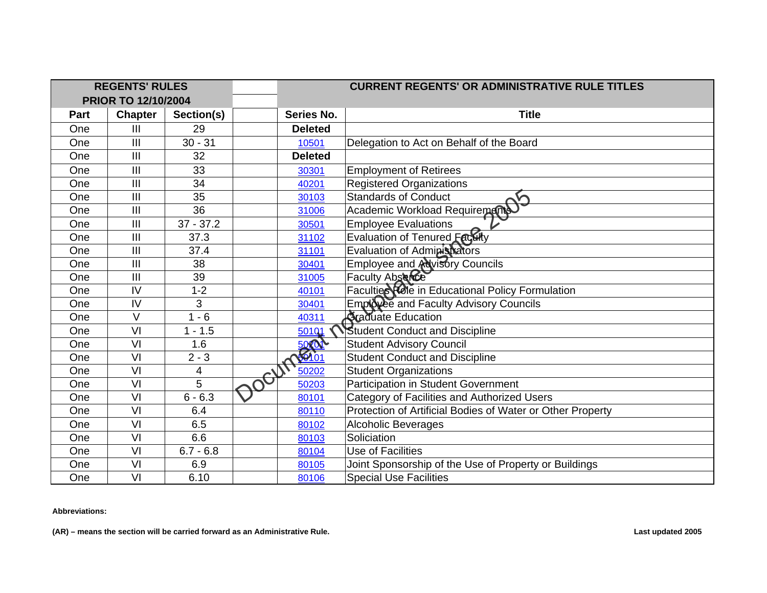| <b>REGENTS' RULES</b>      |                |             |             | <b>CURRENT REGENTS' OR ADMINISTRATIVE RULE TITLES</b> |                                                            |  |
|----------------------------|----------------|-------------|-------------|-------------------------------------------------------|------------------------------------------------------------|--|
| <b>PRIOR TO 12/10/2004</b> |                |             |             |                                                       |                                                            |  |
| Part                       | <b>Chapter</b> | Section(s)  |             | Series No.                                            | <b>Title</b>                                               |  |
| One                        | III            | 29          |             | <b>Deleted</b>                                        |                                                            |  |
| One                        | III            | $30 - 31$   |             | 10501                                                 | Delegation to Act on Behalf of the Board                   |  |
| One                        | III            | 32          |             | <b>Deleted</b>                                        |                                                            |  |
| One                        | III            | 33          |             | 30301                                                 | <b>Employment of Retirees</b>                              |  |
| One                        | $\mathbf{III}$ | 34          |             | 40201                                                 | <b>Registered Organizations</b>                            |  |
| One                        | III            | 35          |             | 30103                                                 | <b>Standards of Conduct</b>                                |  |
| One                        | $\mathbf{III}$ | 36          |             | 31006                                                 | Academic Workload Requirements                             |  |
| One                        | III            | $37 - 37.2$ |             | 30501                                                 | <b>Employee Evaluations</b>                                |  |
| One                        | III            | 37.3        |             | 31102                                                 | Evaluation of Tenured Faculty                              |  |
| One                        | III            | 37.4        |             | 31101                                                 | Evaluation of Administrators                               |  |
| One                        | III            | 38          |             | 30401                                                 | <b>Employee and Advisory Councils</b>                      |  |
| One                        | III            | 39          |             | 31005                                                 | Faculty Abserce                                            |  |
| One                        | $\mathsf{IV}$  | $1 - 2$     |             | 40101                                                 | Faculties <b>Kote</b> in Educational Policy Formulation    |  |
| One                        | IV             | 3           |             | 30401                                                 | Employee and Faculty Advisory Councils                     |  |
| One                        | $\vee$         | $1 - 6$     |             | 40311                                                 | <b>Staduate Education</b>                                  |  |
| One                        | VI             | $1 - 1.5$   |             | 501Q1                                                 | <b>Student Conduct and Discipline</b>                      |  |
| One                        | VI             | 1.6         |             | $\frac{5000}{50001}$                                  | <b>Student Advisory Council</b>                            |  |
| One                        | VI             | $2 - 3$     |             |                                                       | <b>Student Conduct and Discipline</b>                      |  |
| One                        | VI             | 4           | <b>10CH</b> | 50202                                                 | <b>Student Organizations</b>                               |  |
| One                        | VI             | 5           |             | 50203                                                 | Participation in Student Government                        |  |
| One                        | VI             | $6 - 6.3$   |             | 80101                                                 | Category of Facilities and Authorized Users                |  |
| One                        | VI             | 6.4         |             | 80110                                                 | Protection of Artificial Bodies of Water or Other Property |  |
| One                        | VI             | 6.5         |             | 80102                                                 | <b>Alcoholic Beverages</b>                                 |  |
| One                        | VI             | 6.6         |             | 80103                                                 | Soliciation                                                |  |
| One                        | VI             | $6.7 - 6.8$ |             | 80104                                                 | Use of Facilities                                          |  |
| One                        | VI             | 6.9         |             | 80105                                                 | Joint Sponsorship of the Use of Property or Buildings      |  |
| One                        | VI             | 6.10        |             | 80106                                                 | <b>Special Use Facilities</b>                              |  |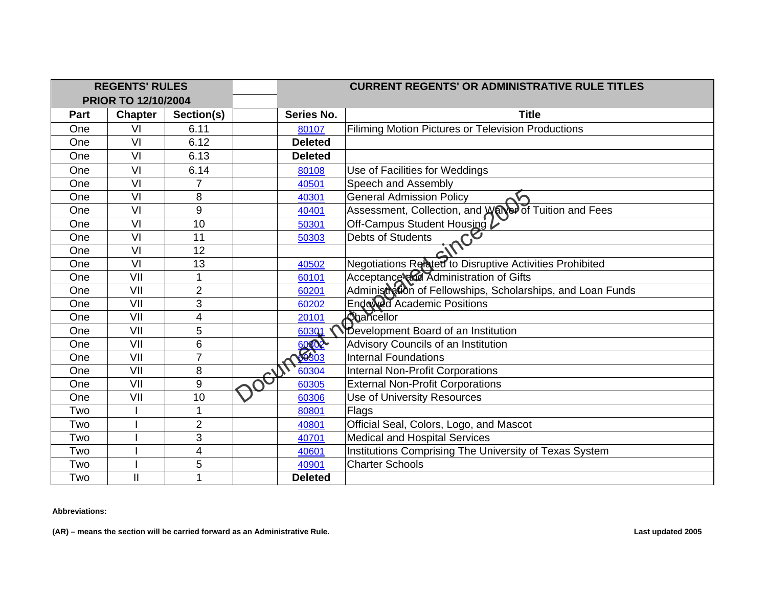| <b>REGENTS' RULES</b>      |                |                | <b>CURRENT REGENTS' OR ADMINISTRATIVE RULE TITLES</b> |                                                             |  |
|----------------------------|----------------|----------------|-------------------------------------------------------|-------------------------------------------------------------|--|
| <b>PRIOR TO 12/10/2004</b> |                |                |                                                       |                                                             |  |
| Part                       | <b>Chapter</b> | Section(s)     | <b>Series No.</b>                                     | <b>Title</b>                                                |  |
| One                        | VI             | 6.11           | 80107                                                 | Filiming Motion Pictures or Television Productions          |  |
| One                        | VI             | 6.12           | <b>Deleted</b>                                        |                                                             |  |
| One                        | VI             | 6.13           | <b>Deleted</b>                                        |                                                             |  |
| One                        | VI             | 6.14           | 80108                                                 | Use of Facilities for Weddings                              |  |
| One                        | VI             | $\overline{7}$ | 40501                                                 | Speech and Assembly                                         |  |
| One                        | VI             | 8              | 40301                                                 | <b>General Admission Policy</b>                             |  |
| One                        | VI             | 9              | 40401                                                 | Assessment, Collection, and Warrer of Tuition and Fees      |  |
| One                        | VI             | 10             | 50301                                                 | Off-Campus Student Housing                                  |  |
| One                        | VI             | 11             | 50303                                                 | ince<br>Debts of Students                                   |  |
| One                        | VI             | 12             |                                                       |                                                             |  |
| One                        | VI             | 13             | 40502                                                 | Negotiations Related to Disruptive Activities Prohibited    |  |
| One                        | VII            | 1              | 60101                                                 | Acceptance and Administration of Gifts                      |  |
| One                        | VII            | $\overline{2}$ | 60201                                                 | Administration of Fellowships, Scholarships, and Loan Funds |  |
| One                        | VII            | 3              | 60202                                                 | Endowed Academic Positions                                  |  |
| One                        | VII            | 4              | 20101                                                 | Chancellor                                                  |  |
| One                        | VII            | 5              | 60301                                                 | Development Board of an Institution                         |  |
| One                        | VII            | 6              | 0002                                                  | Advisory Councils of an Institution                         |  |
| One                        | VII            | 7              |                                                       | <b>Internal Foundations</b>                                 |  |
| One                        | VII            | 8              | 60304                                                 | <b>Internal Non-Profit Corporations</b>                     |  |
| One                        | VII            | $9\,$          | 60305                                                 | <b>External Non-Profit Corporations</b>                     |  |
| One                        | VII            | 10             | 60306                                                 | Use of University Resources                                 |  |
| Two                        |                | 1              | 80801                                                 | Flags                                                       |  |
| Two                        |                | $\overline{2}$ | 40801                                                 | Official Seal, Colors, Logo, and Mascot                     |  |
| Two                        |                | 3              | 40701                                                 | <b>Medical and Hospital Services</b>                        |  |
| Two                        |                | 4              | 40601                                                 | Institutions Comprising The University of Texas System      |  |
| Two                        |                | 5              | 40901                                                 | <b>Charter Schools</b>                                      |  |
| Two                        | $\mathbf{I}$   |                | <b>Deleted</b>                                        |                                                             |  |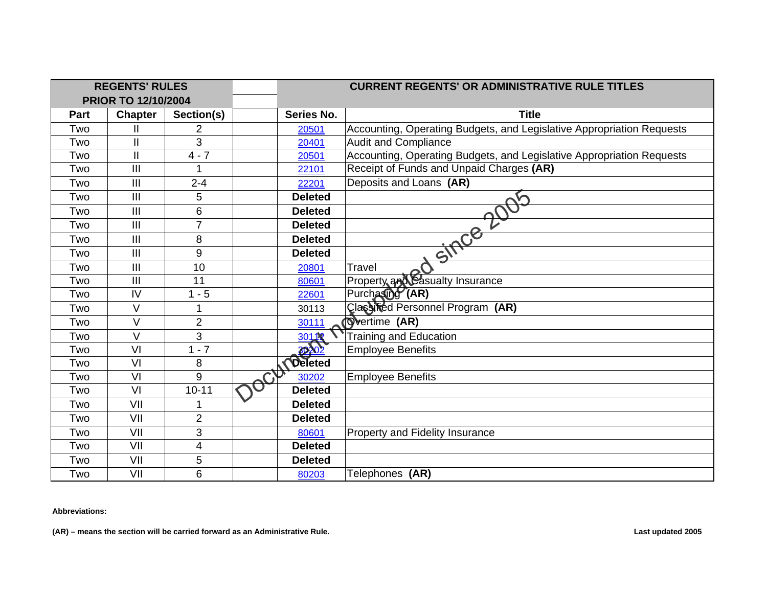| <b>REGENTS' RULES</b>      |                |                | <b>CURRENT REGENTS' OR ADMINISTRATIVE RULE TITLES</b> |                |                                                                       |
|----------------------------|----------------|----------------|-------------------------------------------------------|----------------|-----------------------------------------------------------------------|
| <b>PRIOR TO 12/10/2004</b> |                |                |                                                       |                |                                                                       |
| Part                       | <b>Chapter</b> | Section(s)     |                                                       | Series No.     | <b>Title</b>                                                          |
| Two                        | н              | 2              |                                                       | 20501          | Accounting, Operating Budgets, and Legislative Appropriation Requests |
| Two                        | $\mathbf{I}$   | 3              |                                                       | 20401          | <b>Audit and Compliance</b>                                           |
| Two                        | $\mathbf{I}$   | $4 - 7$        |                                                       | 20501          | Accounting, Operating Budgets, and Legislative Appropriation Requests |
| Two                        | III            |                |                                                       | 22101          | Receipt of Funds and Unpaid Charges (AR)                              |
| Two                        | III            | $2 - 4$        |                                                       | 22201          | Deposits and Loans (AR)                                               |
| Two                        | III            | 5              |                                                       | <b>Deleted</b> |                                                                       |
| Two                        | III            | 6              |                                                       | <b>Deleted</b> |                                                                       |
| Two                        | III            | $\overline{7}$ |                                                       | <b>Deleted</b> |                                                                       |
| Two                        | III            | 8              |                                                       | <b>Deleted</b> |                                                                       |
| Two                        | $\mathbf{III}$ | 9              |                                                       | <b>Deleted</b> | since 2005                                                            |
| Two                        | III            | 10             |                                                       | 20801          | <b>Travel</b>                                                         |
| Two                        | III            | 11             |                                                       | 80601          | Property and Casualty Insurance                                       |
| Two                        | IV             | $1 - 5$        |                                                       | 22601          | Purchasing (AR)                                                       |
| Two                        | $\vee$         | 1              |                                                       | 30113          | Classified Personnel Program (AR)                                     |
| Two                        | $\vee$         | $\overline{2}$ |                                                       | 30111          | Overtime (AR)                                                         |
| Two                        | $\vee$         | 3              |                                                       | 30112          | <b>Training and Education</b>                                         |
| Two                        | VI             | $1 - 7$        |                                                       | $\sqrt{2}$     | <b>Employee Benefits</b>                                              |
| Two                        | VI             | 8              |                                                       | <b>Oeleted</b> |                                                                       |
| Two                        | VI             | 9              |                                                       | 30202          | <b>Employee Benefits</b>                                              |
| Two                        | VI             | $10 - 11$      |                                                       | <b>Deleted</b> |                                                                       |
| Two                        | VII            | 1              |                                                       | <b>Deleted</b> |                                                                       |
| Two                        | VII            | $\overline{2}$ |                                                       | <b>Deleted</b> |                                                                       |
| Two                        | VII            | 3              |                                                       | 80601          | Property and Fidelity Insurance                                       |
| Two                        | VII            | 4              |                                                       | <b>Deleted</b> |                                                                       |
| Two                        | VII            | 5              |                                                       | <b>Deleted</b> |                                                                       |
| Two                        | VII            | 6              |                                                       | 80203          | Telephones (AR)                                                       |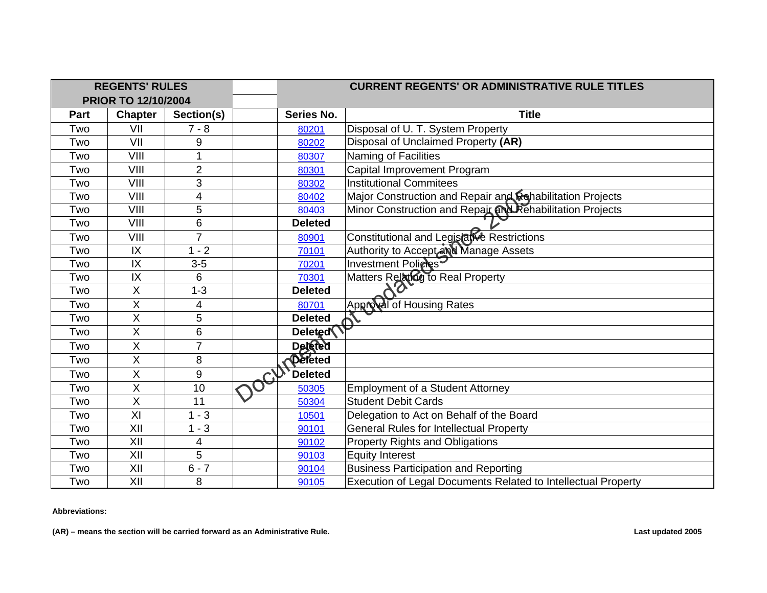| <b>REGENTS' RULES</b>      |                           |                | <b>CURRENT REGENTS' OR ADMINISTRATIVE RULE TITLES</b> |                                                               |  |
|----------------------------|---------------------------|----------------|-------------------------------------------------------|---------------------------------------------------------------|--|
| <b>PRIOR TO 12/10/2004</b> |                           |                |                                                       |                                                               |  |
| Part                       | <b>Chapter</b>            | Section(s)     | <b>Series No.</b>                                     | <b>Title</b>                                                  |  |
| Two                        | VII                       | $7 - 8$        | 80201                                                 | Disposal of U. T. System Property                             |  |
| Two                        | VII                       | 9              | 80202                                                 | Disposal of Unclaimed Property (AR)                           |  |
| Two                        | VIII                      |                | 80307                                                 | Naming of Facilities                                          |  |
| Two                        | VIII                      | $\overline{2}$ | 80301                                                 | Capital Improvement Program                                   |  |
| Two                        | VIII                      | 3              | 80302                                                 | <b>Institutional Commitees</b>                                |  |
| Two                        | VIII                      | 4              | 80402                                                 | Major Construction and Repair and Rehabilitation Projects     |  |
| Two                        | VIII                      | 5              | 80403                                                 | Minor Construction and Repair and Rehabilitation Projects     |  |
| Two                        | VIII                      | 6              | <b>Deleted</b>                                        |                                                               |  |
| Two                        | VIII                      | $\overline{7}$ | 80901                                                 | Constitutional and Legislatve Restrictions                    |  |
| Two                        | IX                        | $1 - 2$        | 70101                                                 | Authority to Accept and Manage Assets                         |  |
| Two                        | IX                        | $3-5$          | 70201                                                 | Investment Policles                                           |  |
| Two                        | IX                        | 6              | 70301                                                 | Matters Relating to Real Property                             |  |
| Two                        | X                         | $1 - 3$        | <b>Deleted</b>                                        |                                                               |  |
| Two                        | X                         | 4              | 80701                                                 | Approval of Housing Rates                                     |  |
| Two                        | X                         | 5              | <b>Deleted</b>                                        | $\phi^{\prime}$                                               |  |
| Two                        | $\boldsymbol{\mathsf{X}}$ | $6\phantom{1}$ | Deleted                                               |                                                               |  |
| Two                        | $\overline{X}$            | $\overline{7}$ | <b>Deleted</b>                                        |                                                               |  |
| Two                        | $\boldsymbol{\mathsf{X}}$ | 8              | Peleted                                               |                                                               |  |
| Two                        | $\sf X$                   | 9              | <b>Deleted</b>                                        |                                                               |  |
| Two                        | $\sf X$                   | 10             | 50305                                                 | <b>Employment of a Student Attorney</b>                       |  |
| Two                        | $\overline{\mathsf{x}}$   | 11             | 50304                                                 | <b>Student Debit Cards</b>                                    |  |
| Two                        | XI                        | $1 - 3$        | 10501                                                 | Delegation to Act on Behalf of the Board                      |  |
| Two                        | XII                       | $1 - 3$        | 90101                                                 | <b>General Rules for Intellectual Property</b>                |  |
| Two                        | XII                       | 4              | 90102                                                 | <b>Property Rights and Obligations</b>                        |  |
| Two                        | XII                       | 5              | 90103                                                 | <b>Equity Interest</b>                                        |  |
| Two                        | XII                       | $6 - 7$        | 90104                                                 | <b>Business Participation and Reporting</b>                   |  |
| Two                        | XII                       | 8              | 90105                                                 | Execution of Legal Documents Related to Intellectual Property |  |